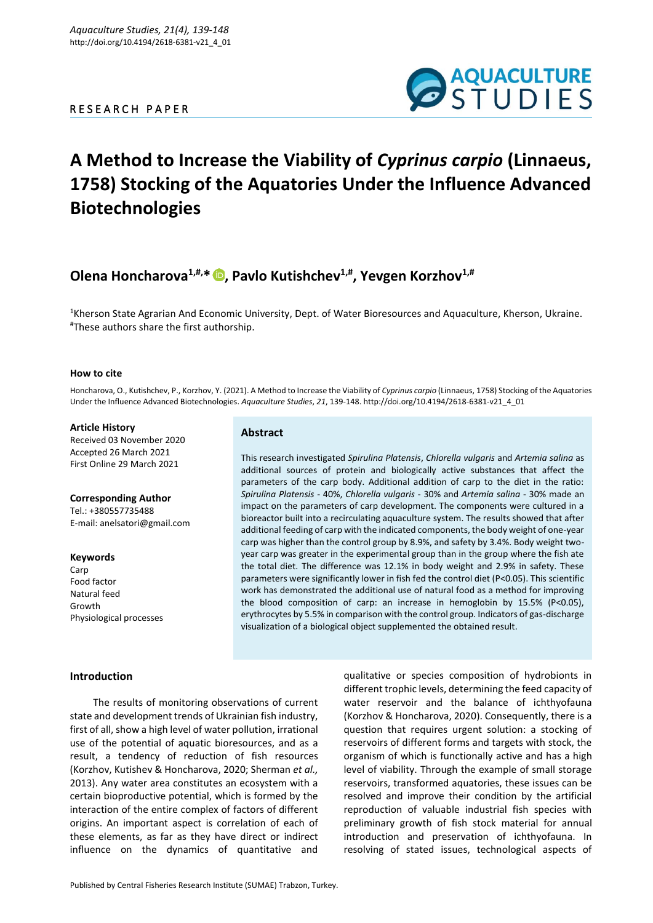### R E S E A R C H P A P E R



# **A Method to Increase the Viability of** *Cyprinus carpio* **(Linnaeus, 1758) Stocking of the Aquatories Under the Influence Advanced Biotechnologies**

## **Olena Honcharova1,#,\* [,](https://orcid.org/0000-0002-9702-7458) Pavlo Kutishchev1,# , Yevgen Korzhov1,#**

**Abstract**

<sup>1</sup>Kherson State Agrarian And Economic University, Dept. of Water Bioresources and Aquaculture, Kherson, Ukraine. #These authors share the first authorship.

#### **How to cite**

Honcharova, O., Kutishchev, P., Korzhov, Y. (2021). A Method to Increase the Viability of *Cyprinus carpio* (Linnaeus, 1758) Stocking of the Aquatories Under the Influence Advanced Biotechnologies. *Aquaculture Studies*, *21*, 139-148. http://doi.org/10.4194/2618-6381-v21\_4\_01

> This research investigated *Spirulina Platensis*, *Chlorella vulgaris* and *Artemia salina* as additional sources of protein and biologically active substances that affect the parameters of the carp body. Additional addition of carp to the diet in the ratio: *Spirulina Platensis* - 40%, *Chlorella vulgaris* - 30% and *Artemia salina* - 30% made an impact on the parameters of carp development. The components were cultured in a bioreactor built into a recirculating aquaculture system. The results showed that after additional feeding of carp with the indicated components, the body weight of one-year carp was higher than the control group by 8.9%, and safety by 3.4%. Body weight twoyear carp was greater in the experimental group than in the group where the fish ate the total diet. The difference was 12.1% in body weight and 2.9% in safety. These parameters were significantly lower in fish fed the control diet (P<0.05). This scientific work has demonstrated the additional use of natural food as a method for improving the blood composition of carp: an increase in hemoglobin by 15.5% (P<0.05), erythrocytes by 5.5% in comparison with the control group. Indicators of gas-discharge

visualization of a biological object supplemented the obtained result.

#### **Article History**

Received 03 November 2020 Accepted 26 March 2021 First Online 29 March 2021

#### **Corresponding Author**

Tel.: +380557735488 E-mail[: anelsatori@gmail.com](mailto:anelsatori@gmail.com)

**Keywords Carp** Food factor Natural feed Growth Physiological processes

#### **Introduction**

The results of monitoring observations of current state and development trends of Ukrainian fish industry, first of all, show a high level of water pollution, irrational use of the potential of aquatic bioresources, and as a result, a tendency of reduction of fish resources (Korzhov, Kutishev & Honcharova, 2020; Sherman *et al.,* 2013). Any water area constitutes an ecosystem with a certain bioproductive potential, which is formed by the interaction of the entire complex of factors of different origins. An important aspect is correlation of each of these elements, as far as they have direct or indirect influence on the dynamics of quantitative and

qualitative or species composition of hydrobionts in different trophic levels, determining the feed capacity of water reservoir and the balance of ichthyofauna (Korzhov & Honcharova, 2020). Consequently, there is a question that requires urgent solution: a stocking of reservoirs of different forms and targets with stock, the organism of which is functionally active and has a high level of viability. Through the example of small storage reservoirs, transformed aquatories, these issues can be resolved and improve their condition by the artificial reproduction of valuable industrial fish species with preliminary growth of fish stock material for annual introduction and preservation of ichthyofauna. In resolving of stated issues, technological aspects of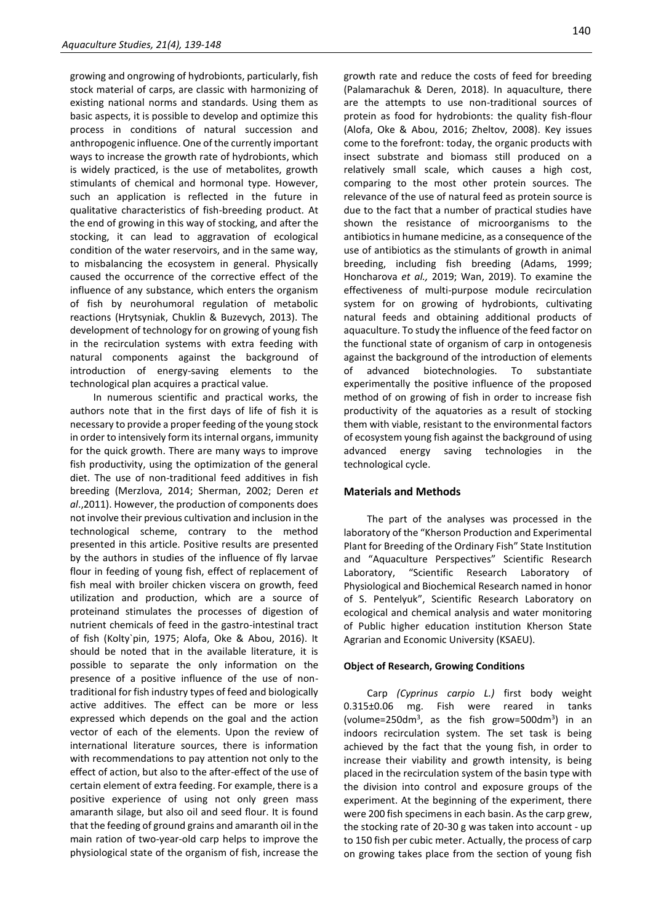growing and ongrowing of hydrobionts, particularly, fish stock material of carps, are classic with harmonizing of existing national norms and standards. Using them as basic aspects, it is possible to develop and optimize this process in conditions of natural succession and anthropogenic influence. One of the currently important ways to increase the growth rate of hydrobionts, which is widely practiced, is the use of metabolites, growth stimulants of chemical and hormonal type. However, such an application is reflected in the future in qualitative characteristics of fish-breeding product. At the end of growing in this way of stocking, and after the stocking, it can lead to aggravation of ecological condition of the water reservoirs, and in the same way, to misbalancing the ecosystem in general. Physically caused the occurrence of the corrective effect of the influence of any substance, which enters the organism of fish by neurohumoral regulation of metabolic reactions (Hrytsyniak, Chuklin & Buzevych, 2013). The development of technology for on growing of young fish in the recirculation systems with extra feeding with natural components against the background of introduction of energy-saving elements to the technological plan acquires a practical value.

In numerous scientific and practical works, the authors note that in the first days of life of fish it is necessary to provide a proper feeding of the young stock in order to intensively form its internal organs, immunity for the quick growth. There are many ways to improve fish productivity, using the optimization of the general diet. The use of non-traditional feed additives in fish breeding (Merzlova, 2014; Sherman, 2002; Deren *et al*.,2011). However, the production of components does not involve their previous cultivation and inclusion in the technological scheme, contrary to the method presented in this article. Positive results are presented by the authors in studies of the influence of fly larvae flour in feeding of young fish, effect of replacement of fish meal with broiler chicken viscera on growth, feed utilization and production, which are a source of proteinand stimulates the processes of digestion of nutrient chemicals of feed in the gastro-intestinal tract of fish (Kolty`pin, 1975; Alofa, Oke & Abou, 2016). It should be noted that in the available literature, it is possible to separate the only information on the presence of a positive influence of the use of nontraditional for fish industry types of feed and biologically active additives. The effect can be more or less expressed which depends on the goal and the action vector of each of the elements. Upon the review of international literature sources, there is information with recommendations to pay attention not only to the effect of action, but also to the after-effect of the use of certain element of extra feeding. For example, there is a positive experience of using not only green mass amaranth silage, but also oil and seed flour. It is found that the feeding of ground grains and amaranth oil in the main ration of two-year-old carp helps to improve the physiological state of the organism of fish, increase the growth rate and reduce the costs of feed for breeding (Palamarachuk & Deren, 2018). In aquaculture, there are the attempts to use non-traditional sources of protein as food for hydrobionts: the quality fish-flour (Alofa, Oke & Abou, 2016; Zheltov, 2008). Key issues come to the forefront: today, the organic products with insect substrate and biomass still produced on a relatively small scale, which causes a high cost, comparing to the most other protein sources. The relevance of the use of natural feed as protein source is due to the fact that a number of practical studies have shown the resistance of microorganisms to the antibiotics in humane medicine, as a consequence of the use of antibiotics as the stimulants of growth in animal breeding, including fish breeding (Adams, 1999; Honcharova *et al.,* 2019; Wan, 2019). To examine the effectiveness of multi-purpose module recirculation system for on growing of hydrobionts, cultivating natural feeds and obtaining additional products of aquaculture. To study the influence of the feed factor on the functional state of organism of carp in ontogenesis against the background of the introduction of elements of advanced biotechnologies. To substantiate experimentally the positive influence of the proposed method of on growing of fish in order to increase fish productivity of the aquatories as a result of stocking them with viable, resistant to the environmental factors of ecosystem young fish against the background of using advanced energy saving technologies in the technological cycle.

#### **Materials and Methods**

The part of the analyses was processed in the laboratory of the "Kherson Production and Experimental Plant for Breeding of the Ordinary Fish" State Institution and "Aquaculture Perspectives" Scientific Research Laboratory, "Scientific Research Laboratory of Physiological and Biochemical Research named in honor of S. Pentelyuk", Scientific Research Laboratory on ecological and chemical analysis and water monitoring of Public higher education institution Kherson State Agrarian and Economic University (KSAEU).

#### **Object of Research, Growing Conditions**

Carp *(Cyprinus carpio L.)* first body weight 0.315±0.06 mg. Fish were reared in tanks (volume=250dm<sup>3</sup>, as the fish grow=500dm<sup>3</sup>) in an indoors recirculation system. The set task is being achieved by the fact that the young fish, in order to increase their viability and growth intensity, is being placed in the recirculation system of the basin type with the division into control and exposure groups of the experiment. At the beginning of the experiment, there were 200 fish specimens in each basin. As the carp grew, the stocking rate of 20-30 g was taken into account - up to 150 fish per cubic meter. Actually, the process of carp on growing takes place from the section of young fish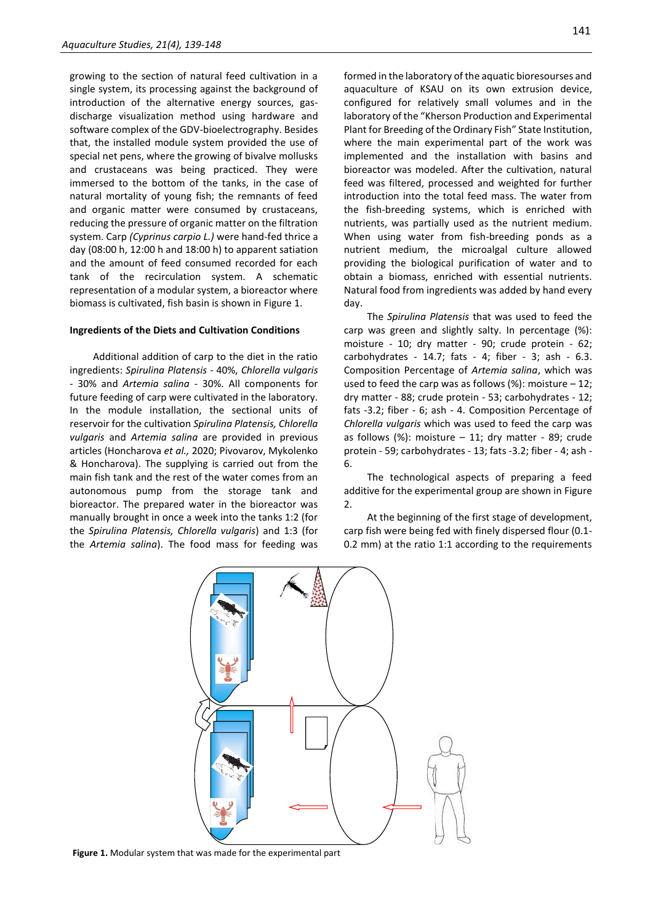growing to the section of natural feed cultivation in a single system, its processing against the background of introduction of the alternative energy sources, gasdischarge visualization method using hardware and software complex of the GDV-bioelectrography. Besides that, the installed module system provided the use of special net pens, where the growing of bivalve mollusks and crustaceans was being practiced. They were immersed to the bottom of the tanks, in the case of natural mortality of young fish; the remnants of feed and organic matter were consumed by crustaceans, reducing the pressure of organic matter on the filtration system. Carp *(Cyprinus carpio L.)* were hand-fed thrice a day (08:00 h, 12:00 h and 18:00 h) to apparent satiation and the amount of feed consumed recorded for each tank of the recirculation system. A schematic representation of a modular system, a bioreactor where biomass is cultivated, fish basin is shown in Figure 1.

#### **Ingredients of the Diets and Cultivation Conditions**

Additional addition of carp to the diet in the ratio ingredients: *Spirulina Platensis* - 40%, *Chlorella vulgaris* - 30% and *Artemia salina* - 30%. All components for future feeding of carp were cultivated in the laboratory. In the module installation, the sectional units of reservoir for the cultivation *Spirulina Platensis, Chlorella vulgaris* and *Artemia salina* are provided in previous articles (Honcharova *et al.,* 2020; Pivovarov, Mykolenko & Honcharova). The supplying is carried out from the main fish tank and the rest of the water comes from an autonomous pump from the storage tank and bioreactor. The prepared water in the bioreactor was manually brought in once a week into the tanks 1:2 (for the *Spirulina Platensis, Chlorella vulgaris*) and 1:3 (for the *Artemia salina*). The food mass for feeding was formed in the laboratory of the aquatic bioresourses and aquaculture of KSAU on its own extrusion device, configured for relatively small volumes and in the laboratory of the "Kherson Production and Experimental Plant for Breeding of the Ordinary Fish" State Institution, where the main experimental part of the work was implemented and the installation with basins and bioreactor was modeled. After the cultivation, natural feed was filtered, processed and weighted for further introduction into the total feed mass. The water from the fish-breeding systems, which is enriched with nutrients, was partially used as the nutrient medium. When using water from fish-breeding ponds as a nutrient medium, the microalgal culture allowed providing the biological purification of water and to obtain a biomass, enriched with essential nutrients. Natural food from ingredients was added by hand every day.

The *Spirulina Platensis* that was used to feed the carp was green and slightly salty. In percentage (%): moisture - 10; dry matter - 90; crude protein - 62; carbohydrates - 14.7; fats - 4; fiber - 3; ash - 6.3. Composition Percentage of *Artemia salina*, which was used to feed the carp was as follows  $%$ : moisture – 12; dry matter - 88; crude protein - 53; carbohydrates - 12; fats -3.2; fiber - 6; ash - 4. Composition Percentage of *Chlorella vulgaris* which was used to feed the carp was as follows (%): moisture  $-11$ ; dry matter - 89; crude protein - 59; carbohydrates - 13; fats -3.2; fiber - 4; ash - 6.

The technological aspects of preparing a feed additive for the experimental group are shown in Figure 2.

At the beginning of the first stage of development, carp fish were being fed with finely dispersed flour (0.1- 0.2 mm) at the ratio 1:1 according to the requirements



**Figure 1.** Modular system that was made for the experimental part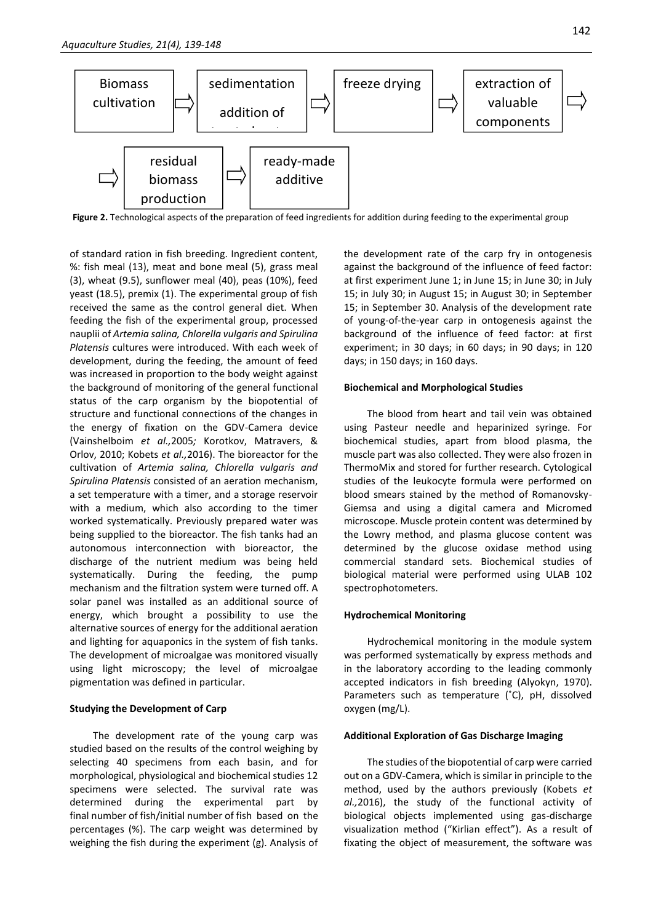

**Figure 2.** Technological aspects of the preparation of feed ingredients for addition during feeding to the experimental group

of standard ration in fish breeding. Ingredient content, %: fish meal (13), meat and bone meal (5), grass meal (3), wheat (9.5), sunflower meal (40), peas (10%), feed yeast (18.5), premix (1). The experimental group of fish received the same as the control general diet. When feeding the fish of the experimental group, processed nauplii of *Artemia salina, Chlorella vulgaris and Spirulina Platensis* cultures were introduced. With each week of development, during the feeding, the amount of feed was increased in proportion to the body weight against the background of monitoring of the general functional status of the carp organism by the biopotential of structure and functional connections of the changes in the energy of fixation on the GDV-Camera device (Vainshelboim *et al.,*2005*;* Korotkov, Matravers, & Orlov, 2010; Kobets *et al.,*2016). The bioreactor for the cultivation of *Artemia salina, Chlorella vulgaris and Spirulina Platensis* consisted of an aeration mechanism, a set temperature with a timer, and a storage reservoir with a medium, which also according to the timer worked systematically. Previously prepared water was being supplied to the bioreactor. The fish tanks had an autonomous interconnection with bioreactor, the discharge of the nutrient medium was being held systematically. During the feeding, the pump mechanism and the filtration system were turned off. A solar panel was installed as an additional source of energy, which brought a possibility to use the alternative sources of energy for the additional aeration and lighting for aquaponics in the system of fish tanks. The development of microalgae was monitored visually using light microscopy; the level of microalgae pigmentation was defined in particular.

#### **Studying the Development of Carp**

The development rate of the young carp was studied based on the results of the control weighing by selecting 40 specimens from each basin, and for morphological, physiological and biochemical studies 12 specimens were selected. The survival rate was determined during the experimental part by final number of fish/initial number of fish based on the percentages (%). The carp weight was determined by weighing the fish during the experiment (g). Analysis of the development rate of the carp fry in ontogenesis against the background of the influence of feed factor: at first experiment June 1; in June 15; in June 30; in July 15; in July 30; in August 15; in August 30; in September 15; in September 30. Analysis of the development rate of young-of-the-year carp in ontogenesis against the background of the influence of feed factor: at first experiment; in 30 days; in 60 days; in 90 days; in 120 days; in 150 days; in 160 days.

#### **Biochemical and Morphological Studies**

The blood from heart and tail vein was obtained using Pasteur needle and heparinized syringe. For biochemical studies, apart from blood plasma, the muscle part was also collected. They were also frozen in ThermoMix and stored for further research. Cytological studies of the leukocyte formula were performed on blood smears stained by the method of Romanovsky-Giemsa and using a digital camera and Micromed microscope. Muscle protein content was determined by the Lowry method, and plasma glucose content was determined by the glucose oxidase method using commercial standard sets. Biochemical studies of biological material were performed using ULAB 102 spectrophotometers.

#### **Hydrochemical Monitoring**

Hydrochemical monitoring in the module system was performed systematically by express methods and in the laboratory according to the leading commonly accepted indicators in fish breeding (Alyokyn, 1970). Parameters such as temperature (˚C), pH, dissolved oxygen (mg/L).

#### **Additional Exploration of Gas Discharge Imaging**

The studies of the biopotential of carp were carried out on a GDV-Camera, which is similar in principle to the method, used by the authors previously (Kobets *et al.,*2016), the study of the functional activity of biological objects implemented using gas-discharge visualization method ("Kirlian effect"). As a result of fixating the object of measurement, the software was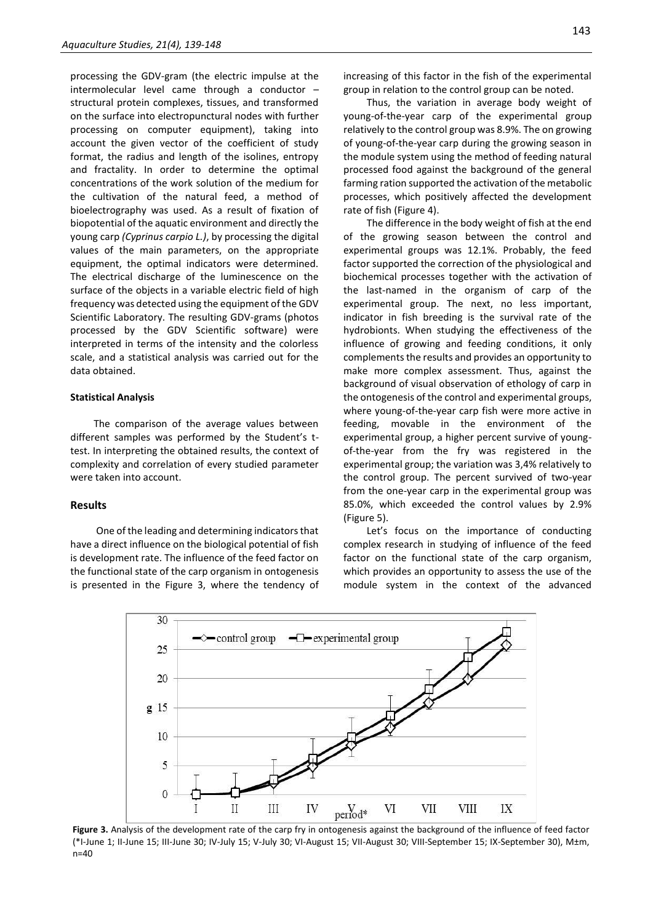processing the GDV-gram (the electric impulse at the intermolecular level came through a conductor – structural protein complexes, tissues, and transformed on the surface into electropunctural nodes with further processing on computer equipment), taking into account the given vector of the coefficient of study format, the radius and length of the isolines, entropy and fractality. In order to determine the optimal concentrations of the work solution of the medium for the cultivation of the natural feed, a method of bioelectrography was used. As a result of fixation of biopotential of the aquatic environment and directly the young carp *(Cyprinus carpio L.)*, by processing the digital values of the main parameters, on the appropriate equipment, the optimal indicators were determined. The electrical discharge of the luminescence on the surface of the objects in a variable electric field of high frequency was detected using the equipment of the GDV Scientific Laboratory. The resulting GDV-grams (photos processed by the GDV Scientific software) were interpreted in terms of the intensity and the colorless scale, and a statistical analysis was carried out for the data obtained.

#### **Statistical Analysis**

The comparison of the average values between different samples was performed by the Student's ttest. In interpreting the obtained results, the context of complexity and correlation of every studied parameter were taken into account.

#### **Results**

One of the leading and determining indicators that have a direct influence on the biological potential of fish is development rate. The influence of the feed factor on the functional state of the carp organism in ontogenesis is presented in the Figure 3, where the tendency of increasing of this factor in the fish of the experimental group in relation to the control group can be noted.

Thus, the variation in average body weight of young-of-the-year carp of the experimental group relatively to the control group was 8.9%. The on growing of young-of-the-year carp during the growing season in the module system using the method of feeding natural processed food against the background of the general farming ration supported the activation of the metabolic processes, which positively affected the development rate of fish (Figure 4).

The difference in the body weight of fish at the end of the growing season between the control and experimental groups was 12.1%. Probably, the feed factor supported the correction of the physiological and biochemical processes together with the activation of the last-named in the organism of carp of the experimental group. The next, no less important, indicator in fish breeding is the survival rate of the hydrobionts. When studying the effectiveness of the influence of growing and feeding conditions, it only complements the results and provides an opportunity to make more complex assessment. Thus, against the background of visual observation of ethology of carp in the ontogenesis of the control and experimental groups, where young-of-the-year carp fish were more active in feeding, movable in the environment of the experimental group, a higher percent survive of youngof-the-year from the fry was registered in the experimental group; the variation was 3,4% relatively to the control group. The percent survived of two-year from the one-year carp in the experimental group was 85.0%, which exceeded the control values by 2.9% (Figure 5).

Let's focus on the importance of conducting complex research in studying of influence of the feed factor on the functional state of the carp organism, which provides an opportunity to assess the use of the module system in the context of the advanced



**Figure 3.** Analysis of the development rate of the carp fry in ontogenesis against the background of the influence of feed factor (\*I-June 1; II-June 15; III-June 30; IV-July 15; V-July 30; VI-August 15; VII-August 30; VIII-September 15; IX-September 30), M±m, n=40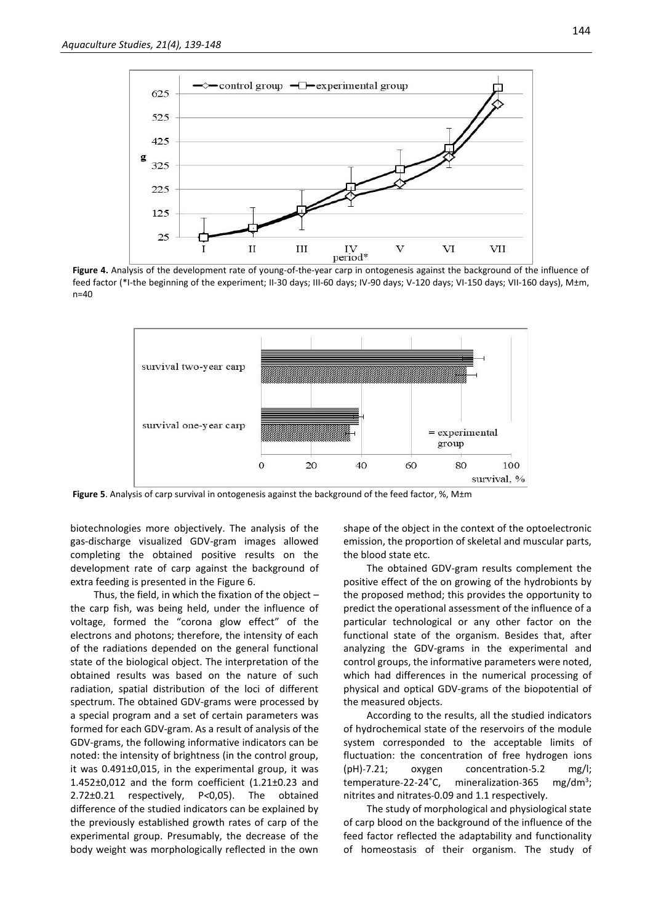

**Figure 4.** Analysis of the development rate of young-of-the-year carp in ontogenesis against the background of the influence of feed factor (\*I-the beginning of the experiment; II-30 days; III-60 days; IV-90 days; V-120 days; VI-150 days; VII-160 days), M±m, n=40



**Figure 5**. Analysis of carp survival in ontogenesis against the background of the feed factor, %, M±m

biotechnologies more objectively. The analysis of the gas-discharge visualized GDV-gram images allowed completing the obtained positive results on the development rate of carp against the background of extra feeding is presented in the Figure 6.

Thus, the field, in which the fixation of the object – the carp fish, was being held, under the influence of voltage, formed the "corona glow effect" of the electrons and photons; therefore, the intensity of each of the radiations depended on the general functional state of the biological object. The interpretation of the obtained results was based on the nature of such radiation, spatial distribution of the loci of different spectrum. The obtained GDV-grams were processed by a special program and a set of certain parameters was formed for each GDV-gram. As a result of analysis of the GDV-grams, the following informative indicators can be noted: the intensity of brightness (in the control group, it was 0.491±0,015, in the experimental group, it was 1.452±0,012 and the form coefficient (1.21±0.23 and 2.72±0.21 respectively, Р*<*0,05). The obtained difference of the studied indicators can be explained by the previously established growth rates of carp of the experimental group. Presumably, the decrease of the body weight was morphologically reflected in the own

shape of the object in the context of the optoelectronic emission, the proportion of skeletal and muscular parts, the blood state etc.

The obtained GDV-gram results complement the positive effect of the on growing of the hydrobionts by the proposed method; this provides the opportunity to predict the operational assessment of the influence of a particular technological or any other factor on the functional state of the organism. Besides that, after analyzing the GDV-grams in the experimental and control groups, the informative parameters were noted, which had differences in the numerical processing of physical and optical GDV-grams of the biopotential of the measured objects.

According to the results, all the studied indicators of hydrochemical state of the reservoirs of the module system corresponded to the acceptable limits of fluctuation: the concentration of free hydrogen ions (pH)-7.21; oxygen concentration-5.2 mg/l; temperature-22-24°C, mineralization-365  $mg/dm^3$ ; nitrites and nitrates-0.09 and 1.1 respectively.

The study of morphological and physiological state of carp blood on the background of the influence of the feed factor reflected the adaptability and functionality of homeostasis of their organism. The study of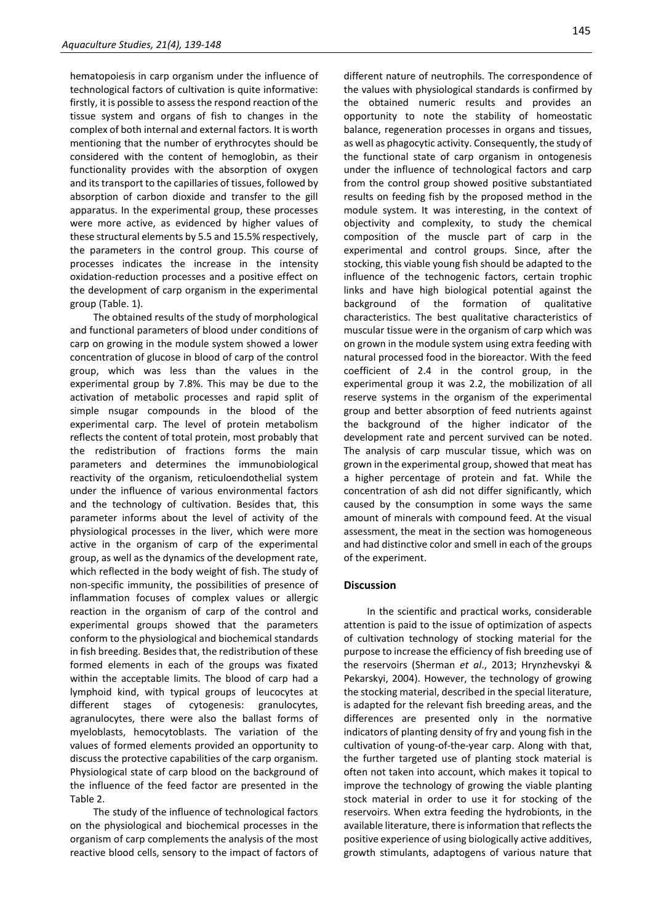hematopoiesis in carp organism under the influence of technological factors of cultivation is quite informative: firstly, it is possible to assess the respond reaction of the tissue system and organs of fish to changes in the complex of both internal and external factors. It is worth mentioning that the number of erythrocytes should be considered with the content of hemoglobin, as their functionality provides with the absorption of oxygen and its transport to the capillaries of tissues, followed by absorption of carbon dioxide and transfer to the gill apparatus. In the experimental group, these processes were more active, as evidenced by higher values of these structural elements by 5.5 and 15.5% respectively, the parameters in the control group. This course of processes indicates the increase in the intensity oxidation-reduction processes and a positive effect on the development of carp organism in the experimental group (Table. 1).

The obtained results of the study of morphological and functional parameters of blood under conditions of carp on growing in the module system showed a lower concentration of glucose in blood of carp of the control group, which was less than the values in the experimental group by 7.8%. This may be due to the activation of metabolic processes and rapid split of simple nsugar compounds in the blood of the experimental carp. The level of protein metabolism reflects the content of total protein, most probably that the redistribution of fractions forms the main parameters and determines the immunobiological reactivity of the organism, reticuloendothelial system under the influence of various environmental factors and the technology of cultivation. Besides that, this parameter informs about the level of activity of the physiological processes in the liver, which were more active in the organism of carp of the experimental group, as well as the dynamics of the development rate, which reflected in the body weight of fish. The study of non-specific immunity, the possibilities of presence of inflammation focuses of complex values or allergic reaction in the organism of carp of the control and experimental groups showed that the parameters conform to the physiological and biochemical standards in fish breeding. Besides that, the redistribution of these formed elements in each of the groups was fixated within the acceptable limits. The blood of carp had a lymphoid kind, with typical groups of leucocytes at different stages of cytogenesis: granulocytes, agranulocytes, there were also the ballast forms of myeloblasts, hemocytoblasts. The variation of the values of formed elements provided an opportunity to discuss the protective capabilities of the carp organism. Physiological state of carp blood on the background of the influence of the feed factor are presented in the Table 2.

The study of the influence of technological factors on the physiological and biochemical processes in the organism of carp complements the analysis of the most reactive blood cells, sensory to the impact of factors of

different nature of neutrophils. The correspondence of the values with physiological standards is confirmed by the obtained numeric results and provides an opportunity to note the stability of homeostatic balance, regeneration processes in organs and tissues, as well as phagocytic activity. Consequently, the study of the functional state of carp organism in ontogenesis under the influence of technological factors and carp from the control group showed positive substantiated results on feeding fish by the proposed method in the module system. It was interesting, in the context of objectivity and complexity, to study the chemical composition of the muscle part of carp in the experimental and control groups. Since, after the stocking, this viable young fish should be adapted to the influence of the technogenic factors, certain trophic links and have high biological potential against the background of the formation of qualitative characteristics. The best qualitative characteristics of muscular tissue were in the organism of carp which was on grown in the module system using extra feeding with natural processed food in the bioreactor. With the feed coefficient of 2.4 in the control group, in the experimental group it was 2.2, the mobilization of all reserve systems in the organism of the experimental group and better absorption of feed nutrients against the background of the higher indicator of the development rate and percent survived can be noted. The analysis of carp muscular tissue, which was on grown in the experimental group, showed that meat has a higher percentage of protein and fat. While the concentration of ash did not differ significantly, which caused by the consumption in some ways the same amount of minerals with compound feed. At the visual assessment, the meat in the section was homogeneous and had distinctive color and smell in each of the groups of the experiment.

#### **Discussion**

In the scientific and practical works, considerable attention is paid to the issue of optimization of aspects of cultivation technology of stocking material for the purpose to increase the efficiency of fish breeding use of the reservoirs (Sherman *et al*., 2013; Hrynzhevskyi & Pekarskyi, 2004). However, the technology of growing the stocking material, described in the special literature, is adapted for the relevant fish breeding areas, and the differences are presented only in the normative indicators of planting density of fry and young fish in the cultivation of young-of-the-year carp. Along with that, the further targeted use of planting stock material is often not taken into account, which makes it topical to improve the technology of growing the viable planting stock material in order to use it for stocking of the reservoirs. When extra feeding the hydrobionts, in the available literature, there is information that reflects the positive experience of using biologically active additives, growth stimulants, adaptogens of various nature that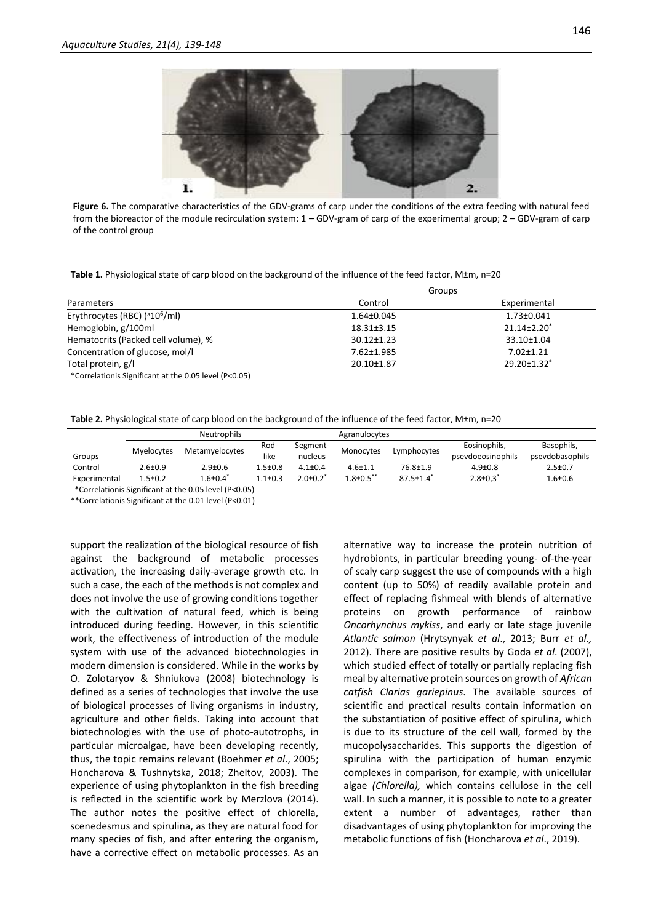

**Figure 6.** The comparative characteristics of the GDV-grams of carp under the conditions of the extra feeding with natural feed from the bioreactor of the module recirculation system: 1 – GDV-gram of carp of the experimental group; 2 – GDV-gram of carp of the control group

**Table 1.** Physiological state of carp blood on the background of the influence of the feed factor, M±m, n=20

|                                                        | Groups           |                         |  |  |
|--------------------------------------------------------|------------------|-------------------------|--|--|
| Parameters                                             | Control          | Experimental            |  |  |
| Erythrocytes (RBC) ( <sup>x</sup> 10 <sup>6</sup> /ml) | 1.64±0.045       | 1.73±0.041              |  |  |
| Hemoglobin, g/100ml                                    | $18.31 \pm 3.15$ | $21.14 \pm 2.20^*$      |  |  |
| Hematocrits (Packed cell volume), %                    | $30.12 \pm 1.23$ | $33.10 \pm 1.04$        |  |  |
| Concentration of glucose, mol/l                        | 7.62±1.985       | $7.02 \pm 1.21$         |  |  |
| Total protein, g/l                                     | 20.10±1.87       | 29.20±1.32 <sup>*</sup> |  |  |

\*Correlationis Significant at the 0.05 level (P<0.05)

**Table 2.** Physiological state of carp blood on the background of the influence of the feed factor, M±m, n=20

|                                                                            | <b>Neutrophils</b> |                 |               |                 | Agranulocytes    |                             |                            |                 |
|----------------------------------------------------------------------------|--------------------|-----------------|---------------|-----------------|------------------|-----------------------------|----------------------------|-----------------|
|                                                                            | Myelocytes         |                 | Rod-          | Segment-        | Monocytes        |                             | Eosinophils,               | Basophils,      |
| Groups                                                                     |                    | Metamyelocytes  | like          | nucleus         |                  | Lymphocytes                 | psevdoeosinophils          | psevdobasophils |
| Control                                                                    | $2.6 \pm 0.9$      | $2.9 \pm 0.6$   | $1.5 \pm 0.8$ | $4.1 \pm 0.4$   | $4.6 + 1.1$      | 76.8±1.9                    | $4.9 \pm 0.8$              | $2.5 \pm 0.7$   |
| Experimental                                                               | $1.5 \pm 0.2$      | $1.6{\pm}0.4^*$ | $1.1 \pm 0.3$ | $2.0 \pm 0.2^*$ | $1.8 \pm 0.5$ ** | $87.5 \pm 1.4$ <sup>*</sup> | $2.8 \pm 0.3$ <sup>*</sup> | $1.6 + 0.6$     |
| $11 - 22 - 22$<br>$\mathbf{a}$<br>$\cdot$<br>$- - - -$<br>.<br>.<br>$\sim$ |                    |                 |               |                 |                  |                             |                            |                 |

\*Correlationis Significant at the 0.05 level (P<0.05)

\*\*Correlationis Significant at the 0.01 level (P<0.01)

support the realization of the biological resource of fish against the background of metabolic processes activation, the increasing daily-average growth etc. In such a case, the each of the methods is not complex and does not involve the use of growing conditions together with the cultivation of natural feed, which is being introduced during feeding. However, in this scientific work, the effectiveness of introduction of the module system with use of the advanced biotechnologies in modern dimension is considered. While in the works by O. Zolotaryov & Shniukova (2008) biotechnology is defined as a series of technologies that involve the use of biological processes of living organisms in industry, agriculture and other fields. Taking into account that biotechnologies with the use of photo-autotrophs, in particular microalgae, have been developing recently, thus, the topic remains relevant (Boehmer *et al*., 2005; Honcharova & Tushnytska, 2018; Zheltov, 2003). The experience of using phytoplankton in the fish breeding is reflected in the scientific work by Merzlova (2014). The author notes the positive effect of chlorella, scenedesmus and spirulina, as they are natural food for many species of fish, and after entering the organism, have a corrective effect on metabolic processes. As an alternative way to increase the protein nutrition of hydrobionts, in particular breeding young- of-the-year of scaly carp suggest the use of compounds with a high content (up to 50%) of readily available protein and effect of replacing fishmeal with blends of alternative proteins on growth performance of rainbow *Oncorhynchus mykiss*, and early or late stage juvenile *Atlantic salmon* (Hrytsynyak *et al*., 2013; Burr *et al.,*  2012). There are positive results by Goda *et al*. (2007), which studied еffect of totally or partially replacing fish meal by alternative protein sources on growth of *African catfish Clarias gariepinus*. The available sources of scientific and practical results contain information on the substantiation of positive effect of spirulina, which is due to its structure of the cell wall, formed by the mucopolysaccharides. This supports the digestion of spirulina with the participation of human enzymic complexes in comparison, for example, with unicellular algae *(Chlorella),* which contains cellulose in the cell wall. In such a manner, it is possible to note to a greater extent a number of advantages, rather than disadvantages of using phytoplankton for improving the metabolic functions of fish (Honcharova *et al*., 2019).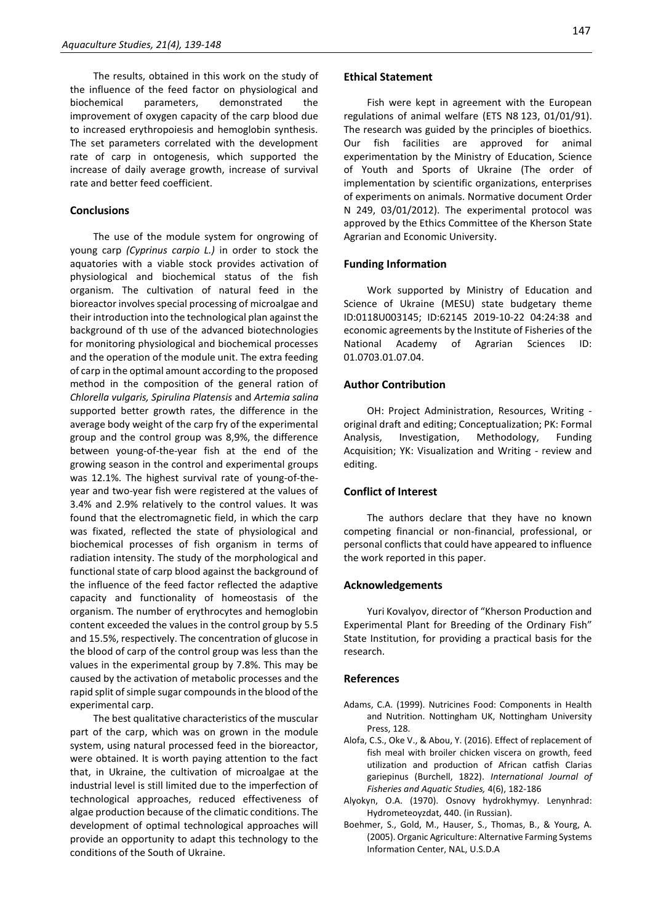The results, obtained in this work on the study of the influence of the feed factor on physiological and biochemical parameters, demonstrated the improvement of oxygen capacity of the carp blood due to increased erythropoiesis and hemoglobin synthesis. The set parameters correlated with the development rate of carp in ontogenesis, which supported the increase of daily average growth, increase of survival rate and better feed coefficient.

#### **Conclusions**

The use of the module system for ongrowing of young carp *(Cyprinus carpio L.)* in order to stock the aquatories with a viable stock provides activation of physiological and biochemical status of the fish organism. The cultivation of natural feed in the bioreactor involves special processing of microalgae and their introduction into the technological plan against the background of th use of the advanced biotechnologies for monitoring physiological and biochemical processes and the operation of the module unit. The extra feeding of carp in the optimal amount according to the proposed method in the composition of the general ration of *Chlorella vulgaris, Spirulina Platensis* and *Artemia salina*  supported better growth rates, the difference in the average body weight of the carp fry of the experimental group and the control group was 8,9%, the difference between young-of-the-year fish at the end of the growing season in the control and experimental groups was 12.1%. The highest survival rate of young-of-theyear and two-year fish were registered at the values of 3.4% and 2.9% relatively to the control values. It was found that the electromagnetic field, in which the carp was fixated, reflected the state of physiological and biochemical processes of fish organism in terms of radiation intensity. The study of the morphological and functional state of carp blood against the background of the influence of the feed factor reflected the adaptive capacity and functionality of homeostasis of the organism. The number of erythrocytes and hemoglobin content exceeded the values in the control group by 5.5 and 15.5%, respectively. The concentration of glucose in the blood of carp of the control group was less than the values in the experimental group by 7.8%. This may be caused by the activation of metabolic processes and the rapid split of simple sugar compounds in the blood of the experimental carp.

The best qualitative characteristics of the muscular part of the carp, which was on grown in the module system, using natural processed feed in the bioreactor, were obtained. It is worth paying attention to the fact that, in Ukraine, the cultivation of microalgae at the industrial level is still limited due to the imperfection of technological approaches, reduced effectiveness of algae production because of the climatic conditions. The development of optimal technological approaches will provide an opportunity to adapt this technology to the conditions of the South of Ukraine.

#### **Ethical Statement**

Fish were kept in agreement with the European regulations of animal welfare (ETS N8 123, 01/01/91). The research was guided by the principles of bioethics. Our fish facilities are approved for animal experimentation by the Ministry of Education, Science of Youth and Sports of Ukraine (The order of implementation by scientific organizations, enterprises of experiments on animals. Normative document Order N 249, 03/01/2012). The experimental protocol was approved by the Ethics Committee of the Kherson State Agrarian and Economic University.

#### **Funding Information**

Work supported by Ministry of Education and Science of Ukraine (MESU) state budgetary theme ID:0118U003145; ID:62145 2019-10-22 04:24:38 and economic agreements by the Institute of Fisheries of the National Academy of Agrarian Sciences ID: 01.0703.01.07.04.

#### **Author Contribution**

OH: Project Administration, Resources, Writing original draft and editing; Conceptualization; PK: Formal Analysis, Investigation, Methodology, Funding Acquisition; YK: Visualization and Writing - review and editing.

#### **Conflict of Interest**

The authors declare that they have no known competing financial or non-financial, professional, or personal conflicts that could have appeared to influence the work reported in this paper.

#### **Acknowledgements**

Yuri Kovalyov, director of "Kherson Production and Experimental Plant for Breeding of the Ordinary Fish" State Institution, for providing a practical basis for the research.

#### **References**

- Adams, C.А. (1999). Nutricines Food: Components in Health and Nutrition. Nottingham UK, Nottingham University Press, 128.
- Alofa, C.S., Oke V., & Abou, Y. (2016). Effect of replacement of fish meal with broiler chicken viscera on growth, feed utilization and production of African catfish Clarias gariepinus (Burchell, 1822). *International Journal of Fisheries and Aquatic Studies,* 4(6), 182-186
- Alyokyn, O.A. (1970). Osnovy hydrokhymyy. Lenynhrad: Hydrometeoyzdat, 440. (in Russian).
- Boehmer, S., Gold, M., Hauser, S., Thomas, B., & Yourg, A. (2005). Organic Agriculture: Alternative Farming Systems Information Center, NAL, U.S.D.A